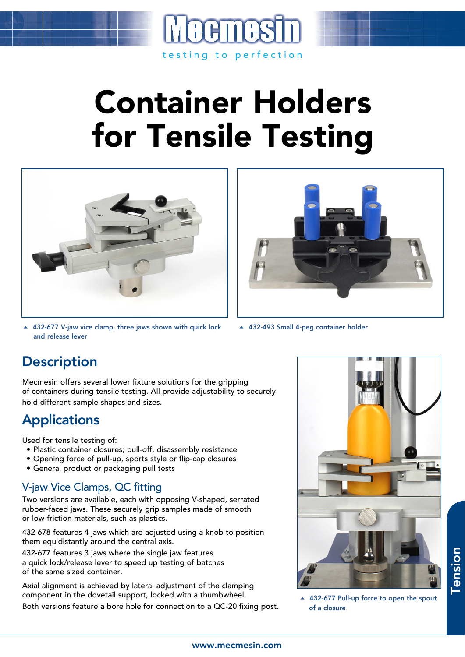

# Container Holders for Tensile Testing



▲ 432-677 V-jaw vice clamp, three jaws shown with quick lock and release lever



▲ 432-493 Small 4-peg container holder

## **Description**

Mecmesin offers several lower fixture solutions for the gripping of containers during tensile testing. All provide adjustability to securely hold different sample shapes and sizes.

# **Applications**

Used for tensile testing of:

- Plastic container closures; pull-off, disassembly resistance
- Opening force of pull-up, sports style or flip-cap closures
- General product or packaging pull tests

### V-jaw Vice Clamps, QC fitting

Two versions are available, each with opposing V-shaped, serrated rubber-faced jaws. These securely grip samples made of smooth or low-friction materials, such as plastics.

432-678 features 4 jaws which are adjusted using a knob to position them equidistantly around the central axis.

432-677 features 3 jaws where the single jaw features a quick lock/release lever to speed up testing of batches of the same sized container.

Axial alignment is achieved by lateral adjustment of the clamping component in the dovetail support, locked with a thumbwheel. Both versions feature a bore hole for connection to a QC-20 fixing post.



▲ 432-677 Pull-up force to open the spout of a closure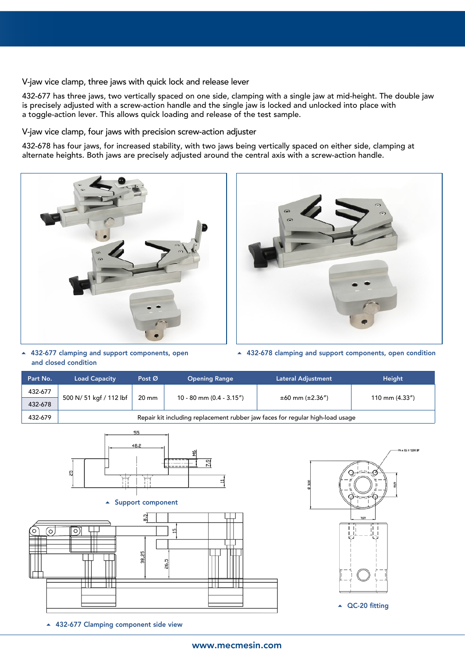V-jaw vice clamp, three jaws with quick lock and release lever

432-677 has three jaws, two vertically spaced on one side, clamping with a single jaw at mid-height. The double jaw is precisely adjusted with a screw-action handle and the single jaw is locked and unlocked into place with a toggle-action lever. This allows quick loading and release of the test sample.

V-jaw vice clamp, four jaws with precision screw-action adjuster

432-678 has four jaws, for increased stability, with two jaws being vertically spaced on either side, clamping at alternate heights. Both jaws are precisely adjusted around the central axis with a screw-action handle.





▲ 432-677 clamping and support components, open and closed condition

432-678 clamping and support components, open condition

| Part No.               | <b>Load Capacity</b>                                                          | Post Ø                                 | <b>Opening Range</b>     | Lateral Adjustment    | Height               |  |  |  |
|------------------------|-------------------------------------------------------------------------------|----------------------------------------|--------------------------|-----------------------|----------------------|--|--|--|
| 432-677                |                                                                               |                                        |                          |                       |                      |  |  |  |
| 432-678                | 500 N/ 51 kgf / 112 lbf                                                       | 20 mm                                  | 10 - 80 mm (0.4 - 3.15") | $±60$ mm ( $±2.36"$ ) | 110 mm (4.33")       |  |  |  |
| 432-679                | Repair kit including replacement rubber jaw faces for regular high-load usage |                                        |                          |                       |                      |  |  |  |
|                        | 옚<br>$\blacktriangle$                                                         | 55<br>48.2<br><b>Support component</b> | 욍<br>22                  |                       | -M4 x 0.5 X 12,00 DP |  |  |  |
| $\circ$<br>O<br>ᇚ<br>₩ | $\circ$<br>∓                                                                  | 엷<br>38,25                             | L<br>26,5                |                       | 19,09<br>ҕ           |  |  |  |

▲ QC-20 fitting

▲ 432-677 Clamping component side view

#### www.mecmesin.com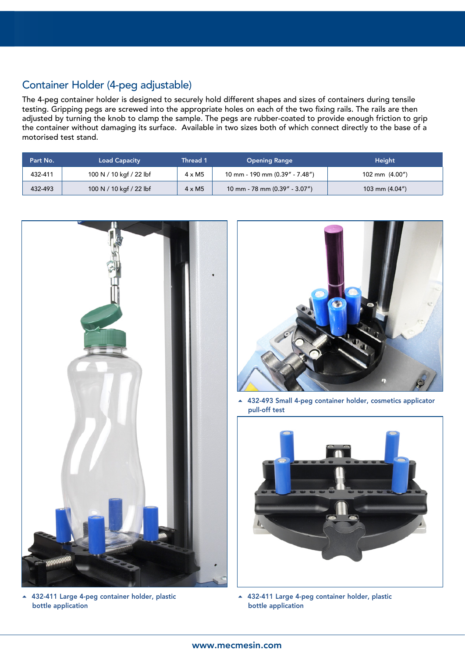## Container Holder (4-peg adjustable)

The 4-peg container holder is designed to securely hold different shapes and sizes of containers during tensile testing. Gripping pegs are screwed into the appropriate holes on each of the two fixing rails. The rails are then adjusted by turning the knob to clamp the sample. The pegs are rubber-coated to provide enough friction to grip the container without damaging its surface. Available in two sizes both of which connect directly to the base of a motorised test stand.

| Part No. | <b>Load Capacity</b>    | Thread 1      | <b>Opening Range</b>            | <b>Height</b>     |
|----------|-------------------------|---------------|---------------------------------|-------------------|
| 432-411  | 100 N / 10 kgf / 22 lbf | $4 \times M5$ | 10 mm - 190 mm (0.39" - 7.48")  | 102 mm $(4.00n)$  |
| 432-493  | 100 N / 10 kgf / 22 lbf | $4 \times M5$ | 10 mm - 78 mm $(0.39" - 3.07")$ | 103 mm $(4.04'')$ |



 432-411 Large 4-peg container holder, plastic bottle application



 432-493 Small 4-peg container holder, cosmetics applicator pull-off test



 432-411 Large 4-peg container holder, plastic bottle application